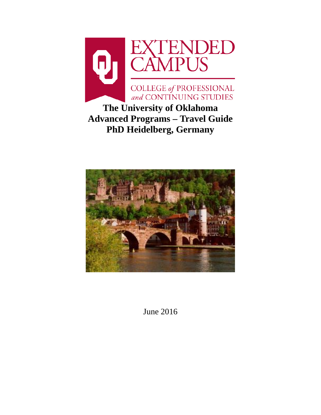

# **The University of Oklahoma Advanced Programs – Travel Guide PhD Heidelberg, Germany**



June 2016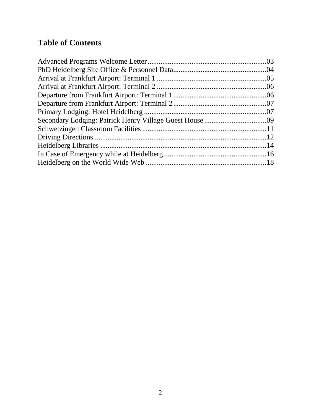# **Table of Contents**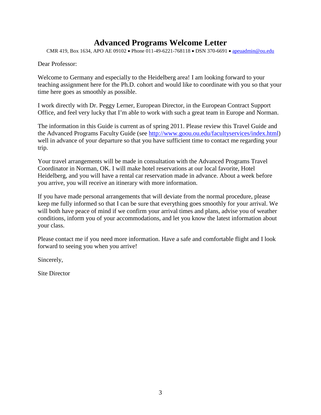# **Advanced Programs Welcome Letter**

CMR 419, Box 1634, APO AE 09102 • Phone 011-49-6221-768118 • DSN 370-6691 • [apeuadmin@ou.edu](mailto:apeuadmin@ou.edu)

Dear Professor:

Welcome to Germany and especially to the Heidelberg area! I am looking forward to your teaching assignment here for the Ph.D. cohort and would like to coordinate with you so that your time here goes as smoothly as possible.

I work directly with Dr. Peggy Lerner, European Director, in the European Contract Support Office, and feel very lucky that I'm able to work with such a great team in Europe and Norman.

The information in this Guide is current as of spring 2011. Please review this Travel Guide and the Advanced Programs Faculty Guide (see [http://www.goou.ou.edu/facultyservices/index.html\)](http://www.goou.ou.edu/facultyservices/index.html) well in advance of your departure so that you have sufficient time to contact me regarding your trip.

Your travel arrangements will be made in consultation with the Advanced Programs Travel Coordinator in Norman, OK. I will make hotel reservations at our local favorite, Hotel Heidelberg, and you will have a rental car reservation made in advance. About a week before you arrive, you will receive an itinerary with more information.

If you have made personal arrangements that will deviate from the normal procedure, please keep me fully informed so that I can be sure that everything goes smoothly for your arrival. We will both have peace of mind if we confirm your arrival times and plans, advise you of weather conditions, inform you of your accommodations, and let you know the latest information about your class.

Please contact me if you need more information. Have a safe and comfortable flight and I look forward to seeing you when you arrive!

Sincerely,

Site Director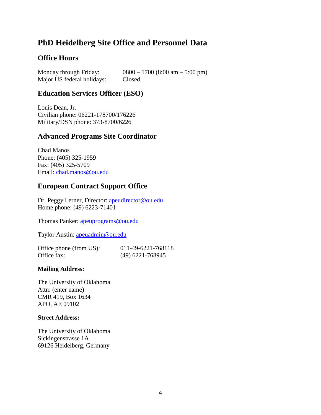# **PhD Heidelberg Site Office and Personnel Data**

## **Office Hours**

Monday through Friday: 0800 – 1700 (8:00 am – 5:00 pm) Major US federal holidays: Closed

## **Education Services Officer (ESO)**

Louis Dean, Jr. Civilian phone: 06221-178700/176226 Military/DSN phone: 373-8700/6226

## **Advanced Programs Site Coordinator**

Chad Manos Phone: (405) 325-1959 Fax: (405) 325-5709 Email: [chad.manos@ou.edu](mailto:chad.manos@ou.edu)

## **European Contract Support Office**

Dr. Peggy Lerner, Director: [apeudirector@ou.edu](mailto:apeudirector@ou.edu) Home phone: (49) 6223-71401

Thomas Panker: [apeuprograms@ou.edu](mailto:apeuprograms@ou.edu)

Taylor Austin: [apeuadmin@ou.edu](mailto:apeuadmin@ou.edu)

| Office phone (from US): | 011-49-6221-768118 |
|-------------------------|--------------------|
| Office fax:             | $(49)$ 6221-768945 |

#### **Mailing Address:**

The University of Oklahoma Attn: (enter name) CMR 419, Box 1634 APO, AE 09102

#### **Street Address:**

The University of Oklahoma Sickingenstrasse 1A 69126 Heidelberg, Germany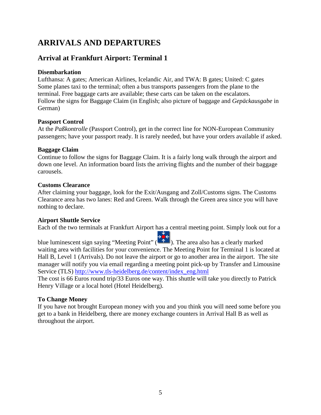# **ARRIVALS AND DEPARTURES**

## **Arrival at Frankfurt Airport: Terminal 1**

#### **Disembarkation**

Lufthansa: A gates; American Airlines, Icelandic Air, and TWA: B gates; United: C gates Some planes taxi to the terminal; often a bus transports passengers from the plane to the terminal. Free baggage carts are available; these carts can be taken on the escalators. Follow the signs for Baggage Claim (in English; also picture of baggage and *Gepäckausgabe* in German)

#### **Passport Control**

At the *Paßkontrolle* (Passport Control), get in the correct line for NON-European Community passengers; have your passport ready. It is rarely needed, but have your orders available if asked.

### **Baggage Claim**

Continue to follow the signs for Baggage Claim. It is a fairly long walk through the airport and down one level. An information board lists the arriving flights and the number of their baggage carousels.

#### **Customs Clearance**

After claiming your baggage, look for the Exit/Ausgang and Zoll/Customs signs. The Customs Clearance area has two lanes: Red and Green. Walk through the Green area since you will have nothing to declare.

### **Airport Shuttle Service**

Each of the two terminals at Frankfurt Airport has a central meeting point. Simply look out for a

blue luminescent sign saying "Meeting Point" ( $\uparrow$ ). The area also has a clearly marked waiting area with facilities for your convenience. The Meeting Point for Terminal 1 is located at Hall B, Level 1 (Arrivals). Do not leave the airport or go to another area in the airport. The site manager will notify you via email regarding a meeting point pick-up by Transfer and Limousine Service (TLS) [http://www.tls-heidelberg.de/content/index\\_eng.html](http://www.tls-heidelberg.de/content/index_eng.html)

The cost is 66 Euros round trip/33 Euros one way. This shuttle will take you directly to Patrick Henry Village or a local hotel (Hotel Heidelberg).

### **To Change Money**

If you have not brought European money with you and you think you will need some before you get to a bank in Heidelberg, there are money exchange counters in Arrival Hall B as well as throughout the airport.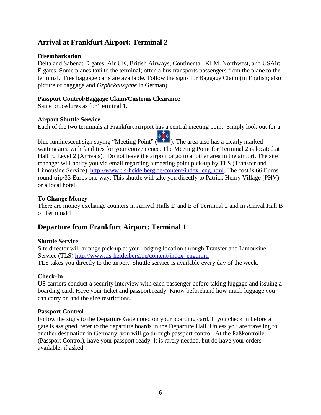## **Arrival at Frankfurt Airport: Terminal 2**

#### **Disembarkation**

Delta and Sabena: D gates; Air UK, British Airways, Continental, KLM, Northwest, and USAir: E gates. Some planes taxi to the terminal; often a bus transports passengers from the plane to the terminal. Free baggage carts are available. Follow the signs for Baggage Claim (in English; also picture of baggage and *Gepäckausgabe* in German)

#### **Passport Control/Baggage Claim/Customs Clearance**

Same procedures as for Terminal 1.

#### **Airport Shuttle Service**

Each of the two terminals at Frankfurt Airport has a central meeting point. Simply look out for a

blue luminescent sign saying "Meeting Point" ( $\overrightarrow{P}$ ). The area also has a clearly marked waiting area with facilities for your convenience. The Meeting Point for Terminal 2 is located at Hall E, Level 2 (Arrivals). Do not leave the airport or go to another area in the airport. The site manager will notify you via email regarding a meeting point pick-up by TLS (Transfer and Limousine Service). [http://www.tls-heidelberg.de/content/index\\_eng.html.](http://www.tls-heidelberg.de/content/index_eng.html) The cost is 66 Euros round trip/33 Euros one way. This shuttle will take you directly to Patrick Henry Village (PHV) or a local hotel.

#### **To Change Money**

There are money exchange counters in Arrival Halls D and E of Terminal 2 and in Arrival Hall B of Terminal 1.

## **Departure from Frankfurt Airport: Terminal 1**

#### **Shuttle Service**

Site director will arrange pick-up at your lodging location through Transfer and Limousine Service (TLS) [http://www.tls-heidelberg.de/content/index\\_eng.html](http://www.tls-heidelberg.de/content/index_eng.html) TLS takes you directly to the airport. Shuttle service is available every day of the week.

#### **Check-In**

US carriers conduct a security interview with each passenger before taking luggage and issuing a boarding card. Have your ticket and passport ready. Know beforehand how much luggage you can carry on and the size restrictions.

#### **Passport Control**

Follow the signs to the Departure Gate noted on your boarding card. If you check in before a gate is assigned, refer to the departure boards in the Departure Hall. Unless you are traveling to another destination in Germany, you will go through passport control. At the Paßkontrolle (Passport Control), have your passport ready. It is rarely needed, but do have your orders available, if asked.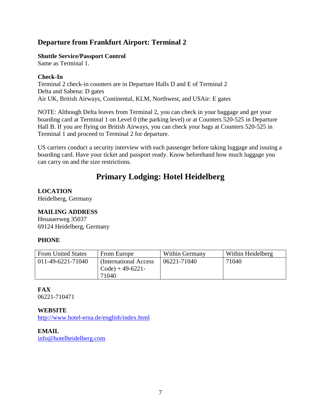## **Departure from Frankfurt Airport: Terminal 2**

#### **Shuttle Service/Passport Control**

Same as Terminal 1.

#### **Check-In**

Terminal 2 check-in counters are in Departure Halls D and E of Terminal 2 Delta and Sabena: D gates Air UK, British Airways, Continental, KLM, Northwest, and USAir: E gates

NOTE: Although Delta leaves from Terminal 2, you can check in your baggage and get your boarding card at Terminal 1 on Level 0 (the parking level) or at Counters 520-525 in Departure Hall B. If you are flying on British Airways, you can check your bags at Counters 520-525 in Terminal 1 and proceed to Terminal 2 for departure.

US carriers conduct a security interview with each passenger before taking luggage and issuing a boarding card. Have your ticket and passport ready. Know beforehand how much luggage you can carry on and the size restrictions.

# **Primary Lodging: Hotel Heidelberg**

#### **LOCATION**

Heidelberg, Germany

#### **MAILING ADDRESS**

Heuauerweg 35037 69124 Heidelberg, Germany

#### **PHONE**

| <b>From United States</b> | From Europe                                            | Within Germany | Within Heidelberg |
|---------------------------|--------------------------------------------------------|----------------|-------------------|
| 011-49-6221-71040         | (International Access)<br>$Code$ ) + 49-6221-<br>71040 | 06221-71040    | 71040             |

### **FAX**

06221-710471

#### **WEBSITE**

<http://www.hotel-erna.de/english/index.html>

#### **EMAIL**

[info@hotelheidelberg.com](mailto:info@hotelheidelberg.com)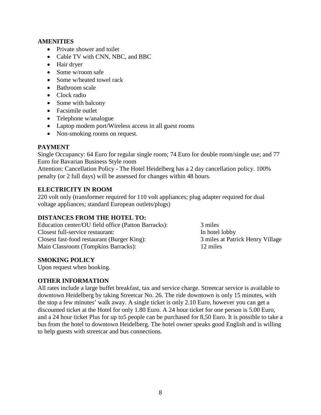#### **AMENITIES**

- Private shower and toilet
- Cable TV with CNN, NBC, and BBC
- Hair dryer
- Some w/room safe
- Some w/heated towel rack
- Bathroom scale
- Clock radio
- Some with balcony
- Facsimile outlet
- Telephone w/analogue
- Laptop modem port/Wireless access in all guest rooms
- Non-smoking rooms on request.

#### **PAYMENT**

Single Occupancy: 64 Euro for regular single room; 74 Euro for double room/single use; and 77 Euro for Bavarian Business Style room

Attention: Cancellation Policy - The Hotel Heidelberg has a 2 day cancellation policy. 100% penalty (or 2 full days) will be assessed for changes within 48 hours.

#### **ELECTRICITY IN ROOM**

220 volt only (transformer required for 110 volt appliances; plug adapter required for dual voltage appliances; standard European outlets/plugs)

#### **DISTANCES FROM THE HOTEL TO:**

| Education center/OU field office (Patton Barracks): | 3 miles                          |
|-----------------------------------------------------|----------------------------------|
| Closest full-service restaurant:                    | In hotel lobby                   |
| Closest fast-food restaurant (Burger King):         | 3 miles at Patrick Henry Village |
| Main Classroom (Tompkins Barracks):                 | 12 miles                         |

#### **SMOKING POLICY**

Upon request when booking.

#### **OTHER INFORMATION**

All rates include a large buffet breakfast, tax and service charge. Streetcar service is available to downtown Heidelberg by taking Streetcar No. 26. The ride downtown is only 15 minutes, with the stop a few minutes' walk away. A single ticket is only 2.10 Euro, however you can get a discounted ticket at the Hotel for only 1.80 Euro. A 24 hour ticket for one person is 5.00 Euro, and a 24 hour ticket Plus for up to5 people can be purchased for 8,50 Euro. It is possible to take a bus from the hotel to downtown Heidelberg. The hotel owner speaks good English and is willing to help guests with streetcar and bus connections.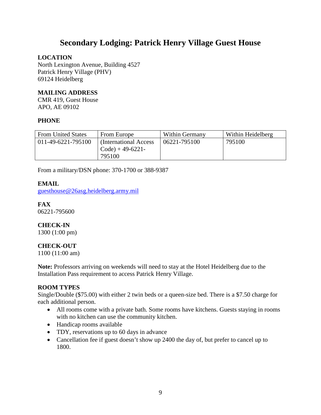# **Secondary Lodging: Patrick Henry Village Guest House**

#### **LOCATION**

North Lexington Avenue, Building 4527 Patrick Henry Village (PHV) 69124 Heidelberg

#### **MAILING ADDRESS**

CMR 419, Guest House APO, AE 09102

#### **PHONE**

| <b>From United States</b> | From Europe                                            | Within Germany | Within Heidelberg |
|---------------------------|--------------------------------------------------------|----------------|-------------------|
| 011-49-6221-795100        | (International Access)<br>$Code) + 49-6221-$<br>795100 | 06221-795100   | 795100            |

From a military/DSN phone: 370-1700 or 388-9387

#### **EMAIL**

[guesthouse@26asg.heidelberg.army.mil](mailto:guesthouse@26asg.heidelberg.army.mil)

**FAX** 06221-795600

### **CHECK-IN**

1300 (1:00 pm)

#### **CHECK-OUT**

1100 (11:00 am)

**Note:** Professors arriving on weekends will need to stay at the Hotel Heidelberg due to the Installation Pass requirement to access Patrick Henry Village.

#### **ROOM TYPES**

Single/Double (\$75.00) with either 2 twin beds or a queen-size bed. There is a \$7.50 charge for each additional person.

- All rooms come with a private bath. Some rooms have kitchens. Guests staying in rooms with no kitchen can use the community kitchen.
- Handicap rooms available
- TDY, reservations up to 60 days in advance
- Cancellation fee if guest doesn't show up 2400 the day of, but prefer to cancel up to 1800.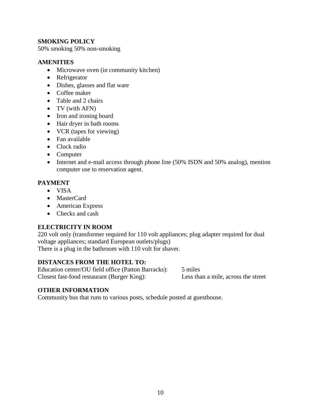#### **SMOKING POLICY**

50% smoking 50% non-smoking

#### **AMENITIES**

- Microwave oven (in community kitchen)
- Refrigerator
- Dishes, glasses and flat ware
- Coffee maker
- Table and 2 chairs
- TV (with AFN)
- Iron and ironing board
- Hair dryer in bath rooms
- VCR (tapes for viewing)
- Fan available
- Clock radio
- Computer
- Internet and e-mail access through phone line (50% ISDN and 50% analog), mention computer use to reservation agent.

#### **PAYMENT**

- VISA
- MasterCard
- American Express
- Checks and cash

#### **ELECTRICITY IN ROOM**

220 volt only (transformer required for 110 volt appliances; plug adapter required for dual voltage appliances; standard European outlets/plugs)

There is a plug in the bathroom with 110 volt for shaver.

#### **DISTANCES FROM THE HOTEL TO:**

Education center/OU field office (Patton Barracks): 5 miles Closest fast-food restaurant (Burger King): Less than a mile, across the street

#### **OTHER INFORMATION**

Community bus that runs to various posts, schedule posted at guesthouse.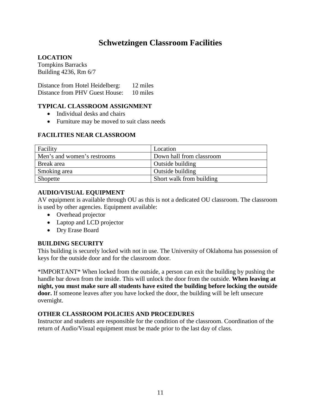# **Schwetzingen Classroom Facilities**

#### **LOCATION**

Tompkins Barracks Building 4236, Rm 6/7

Distance from Hotel Heidelberg: 12 miles<br>Distance from PHV Guest House: 10 miles Distance from PHV Guest House:

#### **TYPICAL CLASSROOM ASSIGNMENT**

- Individual desks and chairs
- Furniture may be moved to suit class needs

#### **FACILITIES NEAR CLASSROOM**

| Facility                    | Location                 |
|-----------------------------|--------------------------|
| Men's and women's restrooms | Down hall from classroom |
| Break area                  | Outside building         |
| Smoking area                | Outside building         |
| Shopette                    | Short walk from building |

#### **AUDIO/VISUAL EQUIPMENT**

AV equipment is available through OU as this is not a dedicated OU classroom. The classroom is used by other agencies. Equipment available:

- Overhead projector
- Laptop and LCD projector
- Dry Erase Board

#### **BUILDING SECURITY**

This building is securely locked with not in use. The University of Oklahoma has possession of keys for the outside door and for the classroom door.

\*IMPORTANT\* When locked from the outside, a person can exit the building by pushing the handle bar down from the inside. This will unlock the door from the outside. **When leaving at night, you must make sure all students have exited the building before locking the outside door.** If someone leaves after you have locked the door, the building will be left unsecure overnight.

#### **OTHER CLASSROOM POLICIES AND PROCEDURES**

Instructor and students are responsible for the condition of the classroom. Coordination of the return of Audio/Visual equipment must be made prior to the last day of class.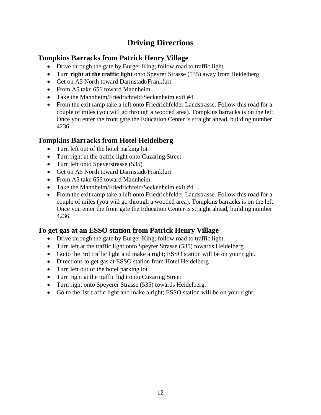# **Driving Directions**

## **Tompkins Barracks from Patrick Henry Village**

- Drive through the gate by Burger King; follow road to traffic light.
- Turn **right at the traffic light** onto Speyrer Strasse (535) away from Heidelberg
- Get on A5 North toward Darmstadt/Frankfurt
- From A5 take 656 toward Mannheim.
- Take the Mannheim/Friedrichfeld/Seckenheim exit #4.
- From the exit ramp take a left onto Friedrichfelder Landstrasse. Follow this road for a couple of miles (you will go through a wooded area). Tompkins barracks is on the left. Once you enter the front gate the Education Center is straight ahead, building number 4236.

# **Tompkins Barracks from Hotel Heidelberg**

- Turn left out of the hotel parking lot
- Turn right at the traffic light onto Cuzaring Street
- Turn left onto Speyerstrasse (535)
- Get on A5 North toward Darmstadt/Frankfurt
- From A5 take 656 toward Mannheim.
- Take the Mannheim/Friedrichfeld/Seckenheim exit #4.
- From the exit ramp take a left onto Friedrichfelder Landstrasse. Follow this road for a couple of miles (you will go through a wooded area). Tompkins barracks is on the left. Once you enter the front gate the Education Center is straight ahead, building number 4236.

## **To get gas at an ESSO station from Patrick Henry Village**

- Drive through the gate by Burger King; follow road to traffic light.
- Turn left at the traffic light onto Speyrer Strasse (535) towards Heidelberg
- Go to the 3rd traffic light and make a right; ESSO station will be on your right.
- Directions to get gas at ESSO station from Hotel Heidelberg
- Turn left out of the hotel parking lot
- Turn right at the traffic light onto Cuzaring Street
- Turn right onto Speyerer Strasse (535) towards Heidelberg.
- Go to the 1st traffic light and make a right; ESSO station will be on your right.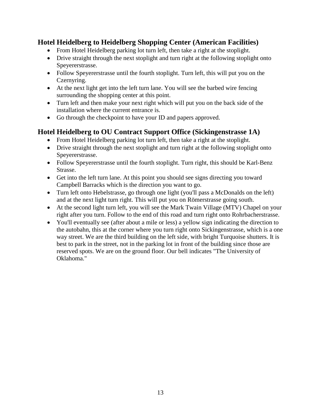## **Hotel Heidelberg to Heidelberg Shopping Center (American Facilities)**

- From Hotel Heidelberg parking lot turn left, then take a right at the stoplight.
- Drive straight through the next stoplight and turn right at the following stoplight onto Speyererstrasse.
- Follow Speyererstrasse until the fourth stoplight. Turn left, this will put you on the Czernyring.
- At the next light get into the left turn lane. You will see the barbed wire fencing surrounding the shopping center at this point.
- Turn left and then make your next right which will put you on the back side of the installation where the current entrance is.
- Go through the checkpoint to have your ID and papers approved.

## **Hotel Heidelberg to OU Contract Support Office (Sickingenstrasse 1A)**

- From Hotel Heidelberg parking lot turn left, then take a right at the stoplight.
- Drive straight through the next stoplight and turn right at the following stoplight onto Speyererstrasse.
- Follow Speyererstrasse until the fourth stoplight. Turn right, this should be Karl-Benz Strasse.
- Get into the left turn lane. At this point you should see signs directing you toward Campbell Barracks which is the direction you want to go.
- Turn left onto Hebelstrasse, go through one light (you'll pass a McDonalds on the left) and at the next light turn right. This will put you on Römerstrasse going south.
- At the second light turn left, you will see the Mark Twain Village (MTV) Chapel on your right after you turn. Follow to the end of this road and turn right onto Rohrbacherstrasse.
- You'll eventually see (after about a mile or less) a vellow sign indicating the direction to the autobahn, this at the corner where you turn right onto Sickingenstrasse, which is a one way street. We are the third building on the left side, with bright Turquoise shutters. It is best to park in the street, not in the parking lot in front of the building since those are reserved spots. We are on the ground floor. Our bell indicates "The University of Oklahoma."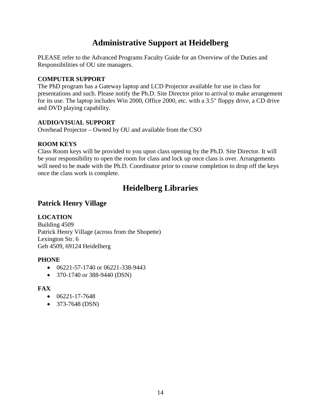# **Administrative Support at Heidelberg**

PLEASE refer to the Advanced Programs Faculty Guide for an Overview of the Duties and Responsibilities of OU site managers.

#### **COMPUTER SUPPORT**

The PhD program has a Gateway laptop and LCD Projector available for use in class for presentations and such. Please notify the Ph.D. Site Director prior to arrival to make arrangement for its use. The laptop includes Win 2000, Office 2000, etc. with a 3.5" floppy drive, a CD drive and DVD playing capability.

#### **AUDIO/VISUAL SUPPORT**

Overhead Projector – Owned by OU and available from the CSO

#### **ROOM KEYS**

Class Room keys will be provided to you upon class opening by the Ph.D. Site Director. It will be your responsibility to open the room for class and lock up once class is over. Arrangements will need to be made with the Ph.D. Coordinator prior to course completion to drop off the keys once the class work is complete.

# **Heidelberg Libraries**

## **Patrick Henry Village**

#### **LOCATION**

Building 4509 Patrick Henry Village (across from the Shopette) Lexington Str. 6 Geb 4509, 69124 Heidelberg

#### **PHONE**

- 06221-57-1740 or 06221-338-9443
- 370-1740 or 388-9440 (DSN)

#### **FAX**

- $\bullet$  06221-17-7648
- 373-7648 (DSN)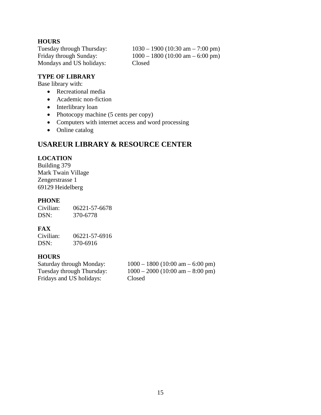**HOURS**  $1030 - 1900$  (10:30 am – 7:00 pm) Friday through Sunday: 1000 – 1800 (10:00 am – 6:00 pm) Mondays and US holidays: Closed

#### **TYPE OF LIBRARY**

Base library with:

- Recreational media
- Academic non-fiction
- Interlibrary loan
- Photocopy machine (5 cents per copy)
- Computers with internet access and word processing
- Online catalog

### **USAREUR LIBRARY & RESOURCE CENTER**

#### **LOCATION**

Building 379 Mark Twain Village Zengerstrasse 1 69129 Heidelberg

#### **PHONE**

Civilian: 06221-57-6678 DSN: 370-6778

#### **FAX**

Civilian: 06221-57-6916 DSN: 370-6916

**HOURS** Saturday through Monday: 1000 – 1800 (10:00 am – 6:00 pm)<br>Tuesday through Thursday: 1000 – 2000 (10:00 am – 8:00 pm)  $1000 - 2000$  (10:00 am – 8:00 pm) Fridays and US holidays: Closed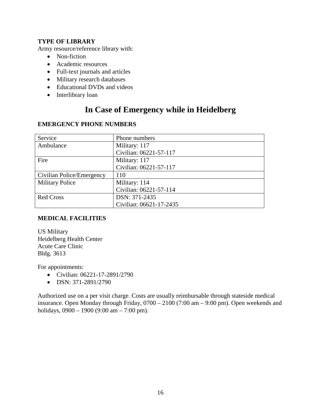#### **TYPE OF LIBRARY**

Army resource/reference library with:

- Non-fiction
- Academic resources
- Full-text journals and articles
- Military research databases
- Educational DVDs and videos
- Interlibrary loan

# **In Case of Emergency while in Heidelberg**

#### **EMERGENCY PHONE NUMBERS**

| Service                   | Phone numbers           |
|---------------------------|-------------------------|
| Ambulance                 | Military: 117           |
|                           | Civilian: 06221-57-117  |
| Fire                      | Military: 117           |
|                           | Civilian: 06221-57-117  |
| Civilian Police/Emergency | 110                     |
| <b>Military Police</b>    | Military: 114           |
|                           | Civilian: 06221-57-114  |
| <b>Red Cross</b>          | DSN: 371-2435           |
|                           | Civilian: 06621-17-2435 |

#### **MEDICAL FACILITIES**

US Military Heidelberg Health Center Acute Care Clinic Bldg. 3613

For appointments:

- Civilian: 06221-17-2891/2790
- DSN: 371-2891/2790

Authorized use on a per visit charge. Costs are usually reimbursable through stateside medical insurance. Open Monday through Friday, 0700 – 2100 (7:00 am – 9:00 pm). Open weekends and holidays,  $0900 - 1900$  (9:00 am – 7:00 pm).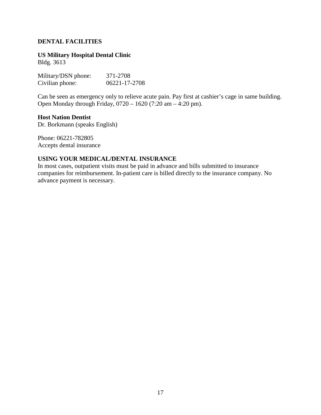#### **DENTAL FACILITIES**

**US Military Hospital Dental Clinic** Bldg. 3613

| Military/DSN phone: | 371-2708      |
|---------------------|---------------|
| Civilian phone:     | 06221-17-2708 |

Can be seen as emergency only to relieve acute pain. Pay first at cashier's cage in same building. Open Monday through Friday, 0720 – 1620 (7:20 am – 4:20 pm).

#### **Host Nation Dentist**

Dr. Borkmann (speaks English)

Phone: 06221-782805 Accepts dental insurance

#### **USING YOUR MEDICAL/DENTAL INSURANCE**

In most cases, outpatient visits must be paid in advance and bills submitted to insurance companies for reimbursement. In-patient care is billed directly to the insurance company. No advance payment is necessary.